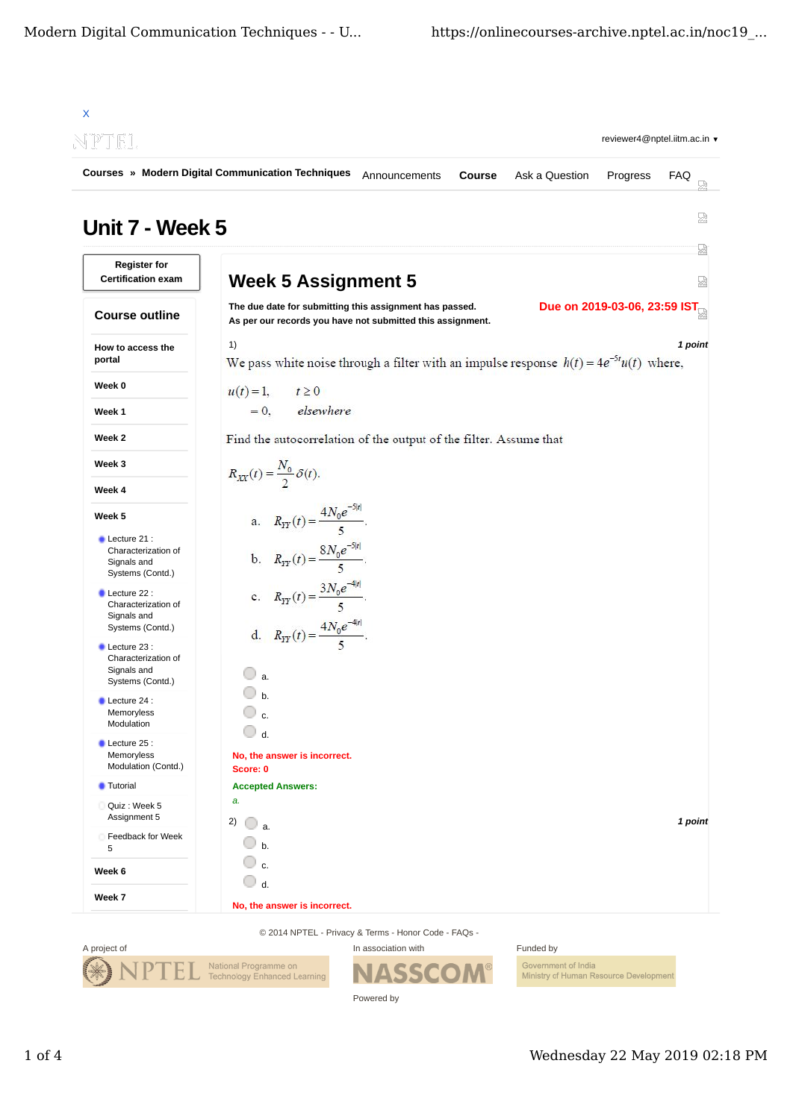|                                                                                                                                                                                                                                                                                   | Courses » Modern Digital Communication Techniques<br>Course<br>Ask a Question<br>FAQ<br>Announcements<br>Progress                                                                                              |  |  |
|-----------------------------------------------------------------------------------------------------------------------------------------------------------------------------------------------------------------------------------------------------------------------------------|----------------------------------------------------------------------------------------------------------------------------------------------------------------------------------------------------------------|--|--|
| Unit 7 - Week 5                                                                                                                                                                                                                                                                   | 눮<br>요                                                                                                                                                                                                         |  |  |
| <b>Register for</b><br><b>Certification exam</b>                                                                                                                                                                                                                                  | <b>Week 5 Assignment 5</b><br>뮯                                                                                                                                                                                |  |  |
| <b>Course outline</b>                                                                                                                                                                                                                                                             | Due on 2019-03-06, 23:59 IST <sub>Ca</sub><br>The due date for submitting this assignment has passed.<br>As per our records you have not submitted this assignment.                                            |  |  |
| How to access the<br>portal                                                                                                                                                                                                                                                       | 1)<br>1 point<br>We pass white noise through a filter with an impulse response $h(t) = 4e^{-5t}u(t)$ where,                                                                                                    |  |  |
| Week 0                                                                                                                                                                                                                                                                            | $u(t) = 1$ ,<br>$t \geq 0$                                                                                                                                                                                     |  |  |
| Week 1                                                                                                                                                                                                                                                                            | elsewhere<br>$= 0.$                                                                                                                                                                                            |  |  |
| Week 2                                                                                                                                                                                                                                                                            | Find the autocorrelation of the output of the filter. Assume that                                                                                                                                              |  |  |
| Week 3                                                                                                                                                                                                                                                                            | $R_{XX}(t) = \frac{N_0}{2} \delta(t).$                                                                                                                                                                         |  |  |
| Week 4                                                                                                                                                                                                                                                                            |                                                                                                                                                                                                                |  |  |
| Week 5<br>Lecture 21 :<br>Characterization of<br>Signals and<br>Systems (Contd.)<br>Lecture 22 :<br>Characterization of<br>Signals and<br>Systems (Contd.)<br>$\blacksquare$ Lecture 23 :<br>Characterization of<br>Signals and<br>Systems (Contd.)<br>Lecture 24 :<br>Memoryless | a. $R_{TT}(t) = \frac{4N_0e^{-3 t }}{5}$ .<br>b. $R_{YY}(t) = \frac{8N_0e^{-5 t }}{5}$ .<br>c. $R_{YY}(t) = \frac{3N_0e^{-4 t }}{5}$ .<br>d. $R_{YY}(t) = \frac{4N_0e^{-4 t }}{5}$ .<br>$\Box$ a.<br>$\cup$ b. |  |  |
| Modulation<br>Lecture 25 :<br>Memoryless<br>Modulation (Contd.)                                                                                                                                                                                                                   | c.<br>d.<br>No, the answer is incorrect.<br>Score: 0                                                                                                                                                           |  |  |
| <b>Tutorial</b>                                                                                                                                                                                                                                                                   | <b>Accepted Answers:</b>                                                                                                                                                                                       |  |  |
| Quiz: Week 5<br>Assignment 5<br>Feedback for Week<br>5                                                                                                                                                                                                                            | a.<br>2)<br>1 point<br>$\Box$ a.<br>$b$                                                                                                                                                                        |  |  |
| Week 6                                                                                                                                                                                                                                                                            | $\mathbb O$ c.<br>$\bigcirc$ d.                                                                                                                                                                                |  |  |

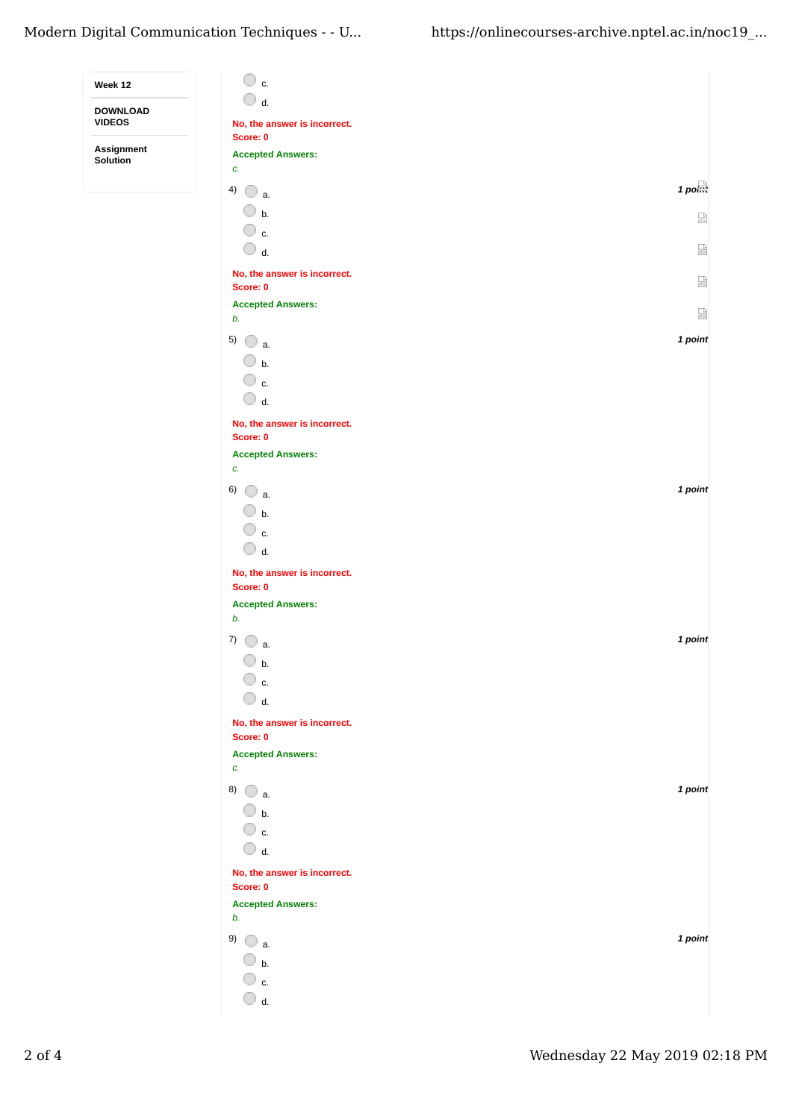| Week 12                          | $\circ$ c.                                      |                     |
|----------------------------------|-------------------------------------------------|---------------------|
| <b>DOWNLOAD</b><br><b>VIDEOS</b> | $\bigcirc$ d.<br>No, the answer is incorrect.   |                     |
| Assignment                       | Score: 0<br><b>Accepted Answers:</b>            |                     |
| Solution                         | c.                                              |                     |
|                                  | 4) $\bigcirc$ a.                                | $1$ po $\mathbb{R}$ |
|                                  | $\bigcirc$ b.                                   | 젎                   |
|                                  | $\overline{\mathbb{O}}$ c.                      |                     |
|                                  | $\bigcirc$ d.                                   | 덣                   |
|                                  | No, the answer is incorrect.<br>Score: 0        | 덣                   |
|                                  | <b>Accepted Answers:</b>                        |                     |
|                                  | b.                                              | 圀                   |
|                                  | 5) $\bigcirc$ a.                                | 1 point             |
|                                  | $\circledcirc$ b.<br>$\overline{\mathbb{O}}$ c. |                     |
|                                  | $\bigcirc$ d.                                   |                     |
|                                  | No, the answer is incorrect.                    |                     |
|                                  | Score: 0                                        |                     |
|                                  | <b>Accepted Answers:</b><br>c.                  |                     |
|                                  | $6)$ a.                                         | 1 point             |
|                                  | $\bigcirc$ b.                                   |                     |
|                                  | $\bigcirc$ c.                                   |                     |
|                                  | $\bigcirc$ d.                                   |                     |
|                                  | No, the answer is incorrect.                    |                     |
|                                  | Score: 0<br><b>Accepted Answers:</b>            |                     |
|                                  | b.                                              |                     |
|                                  | 7)<br>$\Box$ a.                                 | 1 point             |
|                                  | $\Box$ b.                                       |                     |
|                                  | $\overline{\mathbb{O}}$ c.                      |                     |
|                                  | $\bigcirc$ d.                                   |                     |
|                                  | No, the answer is incorrect.<br>Score: 0        |                     |
|                                  | <b>Accepted Answers:</b>                        |                     |
|                                  | c.                                              | 1 point             |
|                                  | 8) $\bigcirc$ a.<br>$\bigcirc$ b.               |                     |
|                                  | $\mathbb O$ c.                                  |                     |
|                                  | $\bigcirc$ d.                                   |                     |
|                                  | No, the answer is incorrect.                    |                     |
|                                  | Score: 0                                        |                     |
|                                  | <b>Accepted Answers:</b><br>b.                  |                     |
|                                  | 9) $\bigcirc$ a.                                | 1 point             |
|                                  | $\bigcirc$ b.                                   |                     |
|                                  | $\overline{\mathbb{O}}$ c.                      |                     |
|                                  | $\bigcirc$ d.                                   |                     |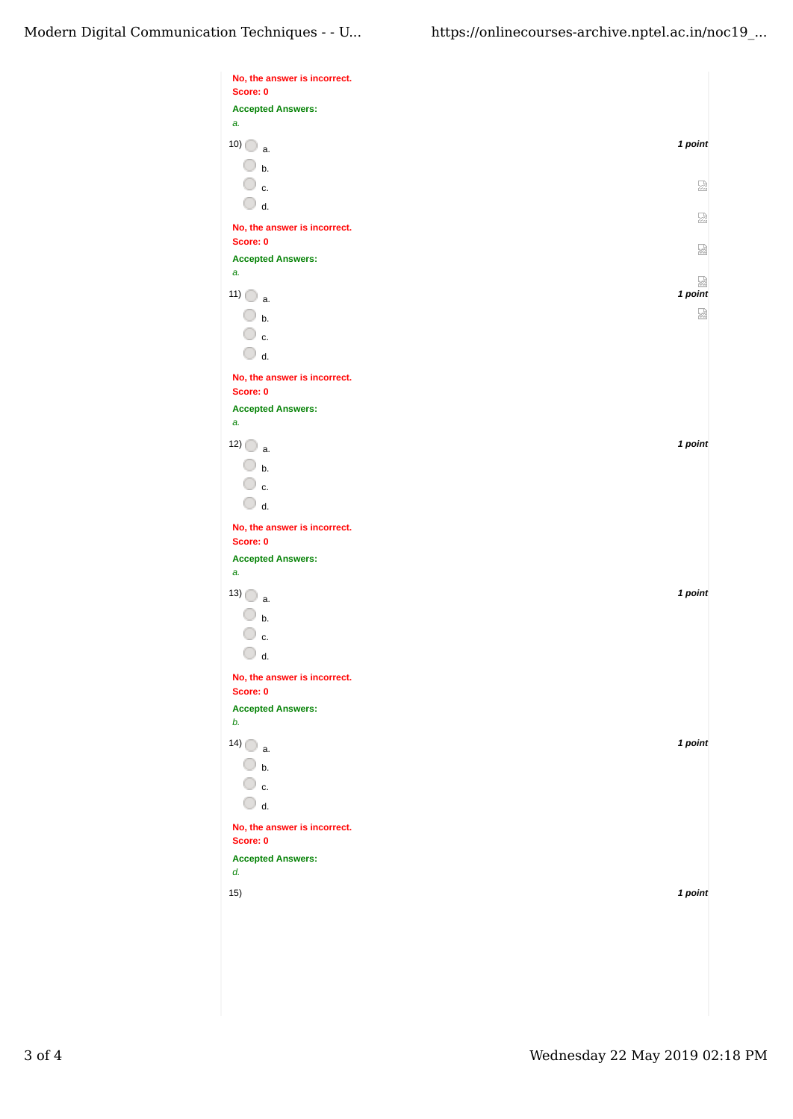| No, the answer is incorrect.<br>Score: 0 |              |
|------------------------------------------|--------------|
| <b>Accepted Answers:</b>                 |              |
| a.                                       |              |
| $10)$ a.                                 | 1 point      |
| $\bigcirc$ b.                            |              |
| $\overline{\mathbb{O}}$ c.               |              |
| $\bigcirc$ d.                            | 요            |
|                                          | 요            |
| No, the answer is incorrect.             |              |
| Score: 0                                 | 요            |
| <b>Accepted Answers:</b><br>a.           |              |
|                                          | 요<br>1 point |
| $11)$ $\bigcirc$ a.                      |              |
| $\bigcirc$ b.                            | 덣            |
| $\circ$ c.                               |              |
| $\bigcirc$ d.                            |              |
| No, the answer is incorrect.<br>Score: 0 |              |
| <b>Accepted Answers:</b>                 |              |
| a.                                       |              |
| $12)$ a.                                 | 1 point      |
| $\bigcirc$ b.                            |              |
| $\overline{\mathbb{O}}$ c.               |              |
| $\bigcirc$ d.                            |              |
|                                          |              |
| No, the answer is incorrect.<br>Score: 0 |              |
| <b>Accepted Answers:</b>                 |              |
| a.                                       |              |
| 13) $\bigcirc$ a.                        | 1 point      |
| $\bigcirc$ b.                            |              |
| ○ c.                                     |              |
| $\bigcirc$ d.                            |              |
|                                          |              |
| No, the answer is incorrect.<br>Score: 0 |              |
| <b>Accepted Answers:</b>                 |              |
| b.                                       |              |
| $14)$ a.                                 | 1 point      |
| $\bigcirc$ b.                            |              |
| $\overline{\mathbb{O}}$ c.               |              |
| $\bigcirc$ d.                            |              |
| No, the answer is incorrect.             |              |
| Score: 0                                 |              |
| <b>Accepted Answers:</b><br>d.           |              |
| 15)                                      | 1 point      |
|                                          |              |
|                                          |              |
|                                          |              |
|                                          |              |
|                                          |              |
|                                          |              |